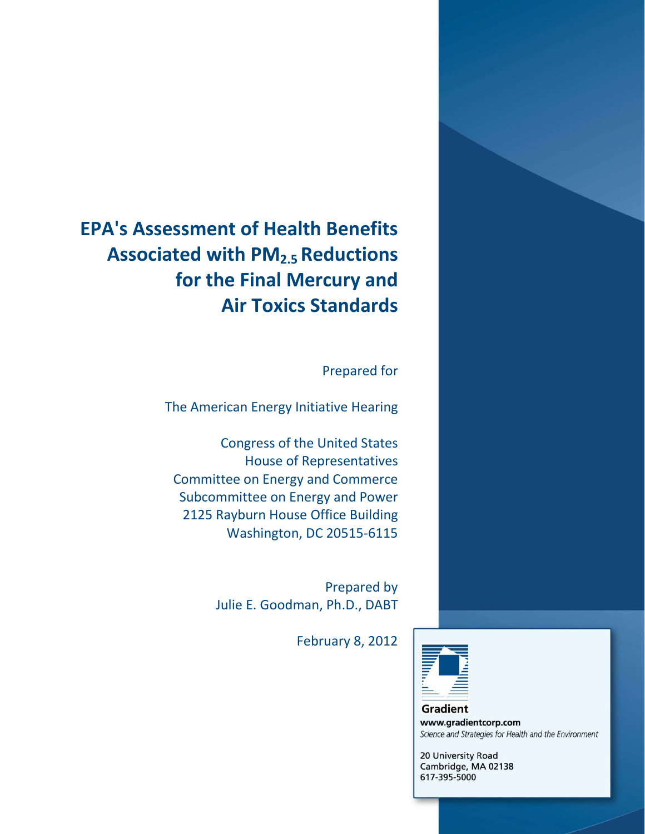# **EPA's Assessment of Health Benefits Associated with PM2.5 Reductions for the Final Mercury and Air Toxics Standards**

Prepared for

The American Energy Initiative Hearing

Congress of the United States House of Representatives Committee on Energy and Commerce Subcommittee on Energy and Power 2125 Rayburn House Office Building Washington, DC 20515-6115

> Prepared by Julie E. Goodman, Ph.D., DABT

> > February 8, 2012



Gradient www.gradientcorp.com Science and Strategies for Health and the Environment

20 University Road Cambridge, MA 02138 617-395-5000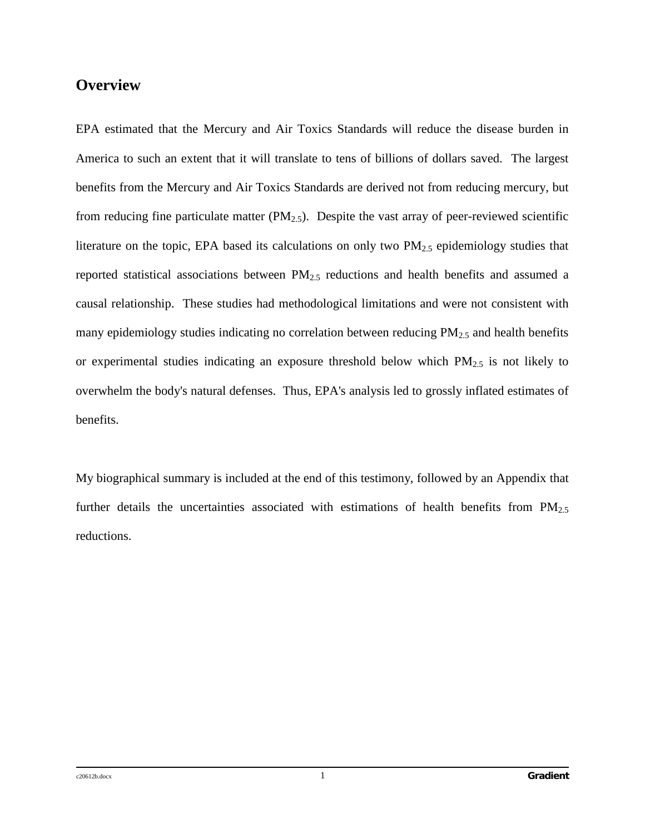## **Overview**

EPA estimated that the Mercury and Air Toxics Standards will reduce the disease burden in America to such an extent that it will translate to tens of billions of dollars saved. The largest benefits from the Mercury and Air Toxics Standards are derived not from reducing mercury, but from reducing fine particulate matter  $(PM_{2.5})$ . Despite the vast array of peer-reviewed scientific literature on the topic, EPA based its calculations on only two  $PM_{2.5}$  epidemiology studies that reported statistical associations between  $PM_{2.5}$  reductions and health benefits and assumed a causal relationship. These studies had methodological limitations and were not consistent with many epidemiology studies indicating no correlation between reducing  $PM<sub>2.5</sub>$  and health benefits or experimental studies indicating an exposure threshold below which  $PM_{2.5}$  is not likely to overwhelm the body's natural defenses. Thus, EPA's analysis led to grossly inflated estimates of benefits.

My biographical summary is included at the end of this testimony, followed by an Appendix that further details the uncertainties associated with estimations of health benefits from  $PM_{2.5}$ reductions.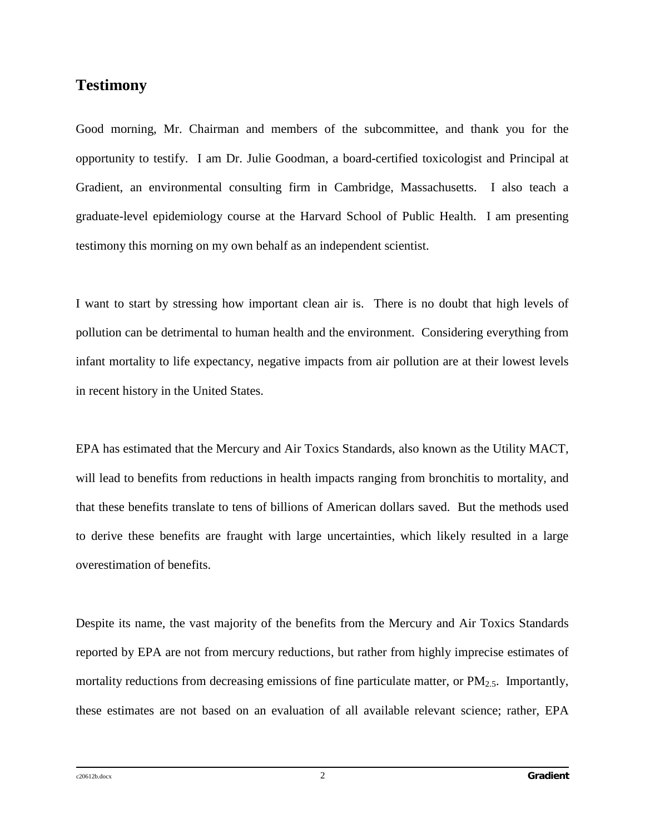## **Testimony**

Good morning, Mr. Chairman and members of the subcommittee, and thank you for the opportunity to testify. I am Dr. Julie Goodman, a board-certified toxicologist and Principal at Gradient, an environmental consulting firm in Cambridge, Massachusetts. I also teach a graduate-level epidemiology course at the Harvard School of Public Health. I am presenting testimony this morning on my own behalf as an independent scientist.

I want to start by stressing how important clean air is. There is no doubt that high levels of pollution can be detrimental to human health and the environment. Considering everything from infant mortality to life expectancy, negative impacts from air pollution are at their lowest levels in recent history in the United States.

EPA has estimated that the Mercury and Air Toxics Standards, also known as the Utility MACT, will lead to benefits from reductions in health impacts ranging from bronchitis to mortality, and that these benefits translate to tens of billions of American dollars saved. But the methods used to derive these benefits are fraught with large uncertainties, which likely resulted in a large overestimation of benefits.

Despite its name, the vast majority of the benefits from the Mercury and Air Toxics Standards reported by EPA are not from mercury reductions, but rather from highly imprecise estimates of mortality reductions from decreasing emissions of fine particulate matter, or  $PM_{2.5}$ . Importantly, these estimates are not based on an evaluation of all available relevant science; rather, EPA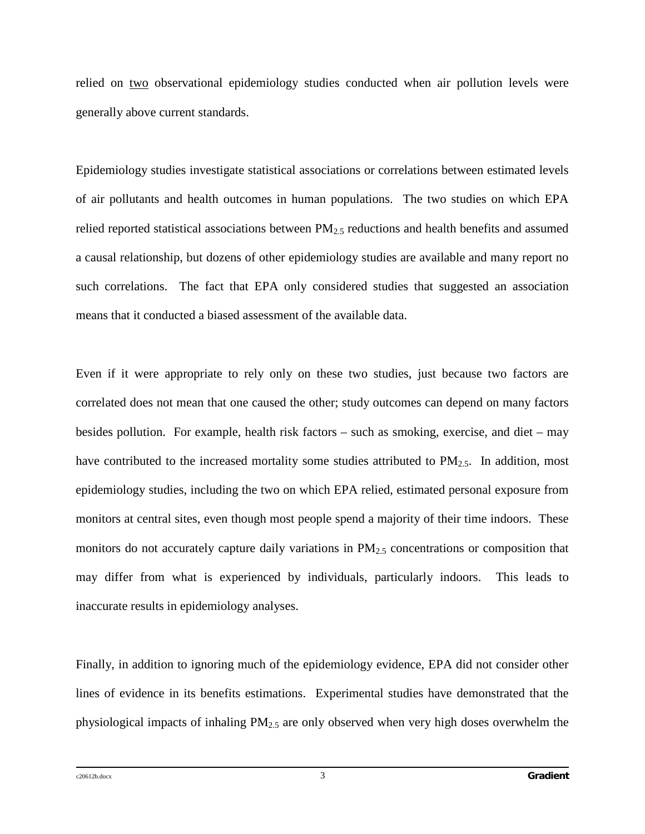relied on two observational epidemiology studies conducted when air pollution levels were generally above current standards.

Epidemiology studies investigate statistical associations or correlations between estimated levels of air pollutants and health outcomes in human populations. The two studies on which EPA relied reported statistical associations between PM2.5 reductions and health benefits and assumed a causal relationship, but dozens of other epidemiology studies are available and many report no such correlations. The fact that EPA only considered studies that suggested an association means that it conducted a biased assessment of the available data.

Even if it were appropriate to rely only on these two studies, just because two factors are correlated does not mean that one caused the other; study outcomes can depend on many factors besides pollution. For example, health risk factors – such as smoking, exercise, and diet – may have contributed to the increased mortality some studies attributed to PM<sub>2.5</sub>. In addition, most epidemiology studies, including the two on which EPA relied, estimated personal exposure from monitors at central sites, even though most people spend a majority of their time indoors. These monitors do not accurately capture daily variations in  $PM_{2.5}$  concentrations or composition that may differ from what is experienced by individuals, particularly indoors. This leads to inaccurate results in epidemiology analyses.

Finally, in addition to ignoring much of the epidemiology evidence, EPA did not consider other lines of evidence in its benefits estimations. Experimental studies have demonstrated that the physiological impacts of inhaling PM2.5 are only observed when very high doses overwhelm the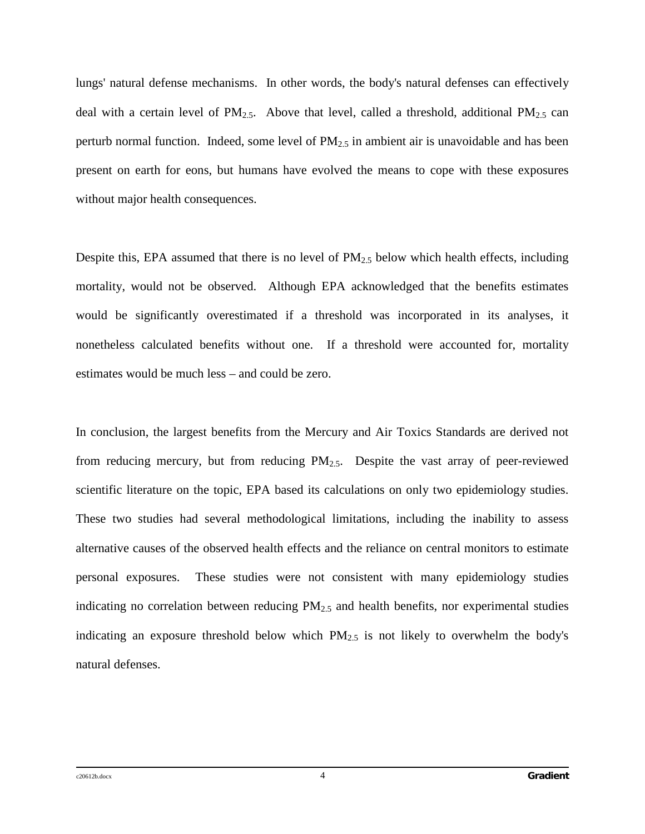lungs' natural defense mechanisms. In other words, the body's natural defenses can effectively deal with a certain level of  $PM_{2.5}$ . Above that level, called a threshold, additional  $PM_{2.5}$  can perturb normal function. Indeed, some level of  $PM_{2.5}$  in ambient air is unavoidable and has been present on earth for eons, but humans have evolved the means to cope with these exposures without major health consequences.

Despite this, EPA assumed that there is no level of  $PM_{2.5}$  below which health effects, including mortality, would not be observed. Although EPA acknowledged that the benefits estimates would be significantly overestimated if a threshold was incorporated in its analyses, it nonetheless calculated benefits without one. If a threshold were accounted for, mortality estimates would be much less – and could be zero.

In conclusion, the largest benefits from the Mercury and Air Toxics Standards are derived not from reducing mercury, but from reducing  $PM<sub>2.5</sub>$ . Despite the vast array of peer-reviewed scientific literature on the topic, EPA based its calculations on only two epidemiology studies. These two studies had several methodological limitations, including the inability to assess alternative causes of the observed health effects and the reliance on central monitors to estimate personal exposures. These studies were not consistent with many epidemiology studies indicating no correlation between reducing  $PM_{2.5}$  and health benefits, nor experimental studies indicating an exposure threshold below which  $PM_{2.5}$  is not likely to overwhelm the body's natural defenses.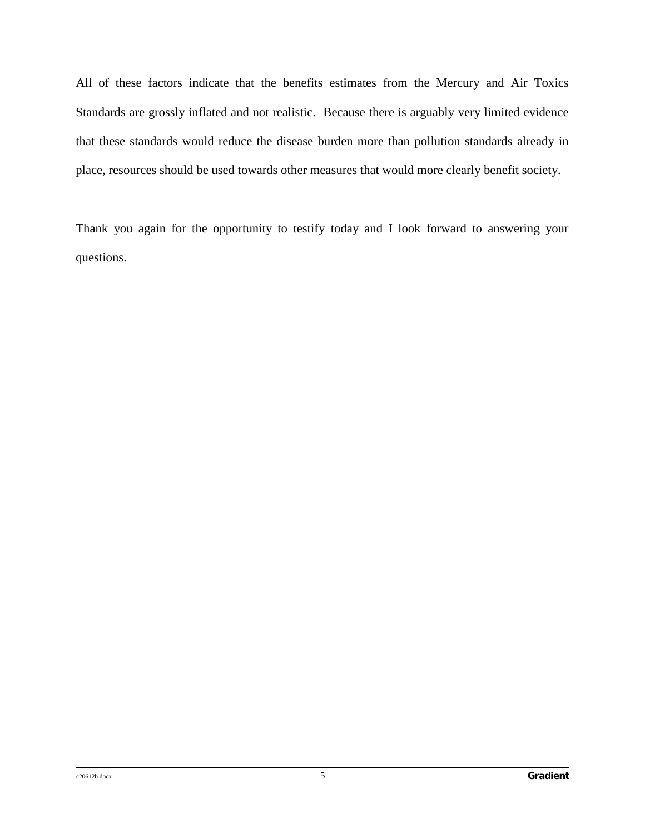All of these factors indicate that the benefits estimates from the Mercury and Air Toxics Standards are grossly inflated and not realistic. Because there is arguably very limited evidence that these standards would reduce the disease burden more than pollution standards already in place, resources should be used towards other measures that would more clearly benefit society.

Thank you again for the opportunity to testify today and I look forward to answering your questions.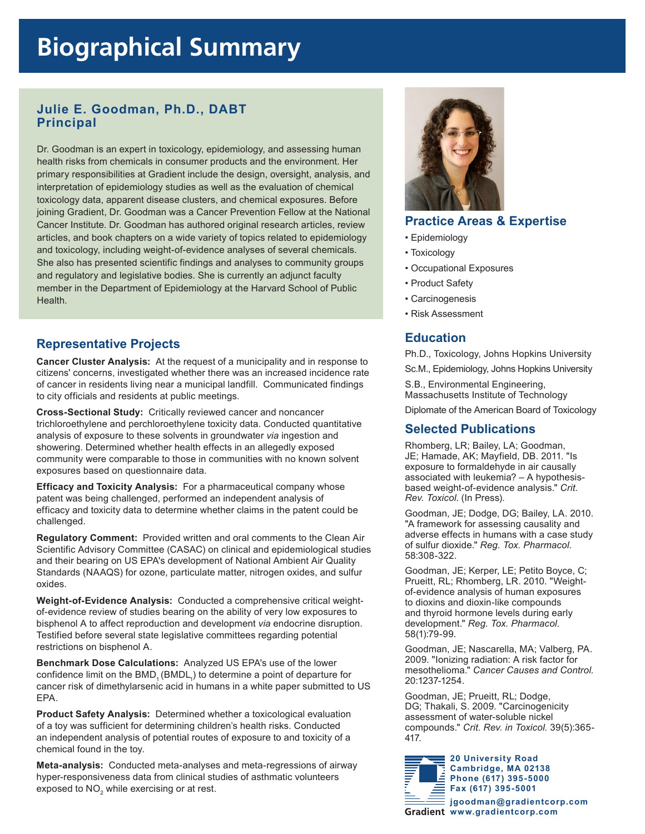# **Biographical Summary Biographical Summary**

### **Julie E. Goodman, Ph.D., DABT Principal**

Dr. Goodman is an expert in toxicology, epidemiology, and assessing human health risks from chemicals in consumer products and the environment. Her primary responsibilities at Gradient include the design, oversight, analysis, and interpretation of epidemiology studies as well as the evaluation of chemical toxicology data, apparent disease clusters, and chemical exposures. Before joining Gradient, Dr. Goodman was a Cancer Prevention Fellow at the National Cancer Institute. Dr. Goodman has authored original research articles, review articles, and book chapters on a wide variety of topics related to epidemiology and toxicology, including weight-of-evidence analyses of several chemicals. She also has presented scientific findings and analyses to community groups and regulatory and legislative bodies. She is currently an adjunct faculty member in the Department of Epidemiology at the Harvard School of Public Health.

### **Representative Projects**

**Cancer Cluster Analysis:** At the request of a municipality and in response to citizens' concerns, investigated whether there was an increased incidence rate of cancer in residents living near a municipal landfill. Communicated findings to city officials and residents at public meetings.

**Cross-Sectional Study:** Critically reviewed cancer and noncancer trichloroethylene and perchloroethylene toxicity data. Conducted quantitative analysis of exposure to these solvents in groundwater *via* ingestion and showering. Determined whether health effects in an allegedly exposed community were comparable to those in communities with no known solvent exposures based on questionnaire data.

**Efficacy and Toxicity Analysis:** For a pharmaceutical company whose patent was being challenged, performed an independent analysis of efficacy and toxicity data to determine whether claims in the patent could be challenged.

**Regulatory Comment:** Provided written and oral comments to the Clean Air Scientific Advisory Committee (CASAC) on clinical and epidemiological studies and their bearing on US EPA's development of National Ambient Air Quality Standards (NAAQS) for ozone, particulate matter, nitrogen oxides, and sulfur oxides.

**Weight-of-Evidence Analysis:** Conducted a comprehensive critical weightof-evidence review of studies bearing on the ability of very low exposures to bisphenol A to affect reproduction and development *via* endocrine disruption. Testified before several state legislative committees regarding potential restrictions on bisphenol A.

**Benchmark Dose Calculations:** Analyzed US EPA's use of the lower confidence limit on the  $\mathsf{BMD}_{_1}(\mathsf{BMDL}_{_1})$  to determine a point of departure for cancer risk of dimethylarsenic acid in humans in a white paper submitted to US EPA.

**Product Safety Analysis:** Determined whether a toxicological evaluation of a toy was sufficient for determining children's health risks. Conducted an independent analysis of potential routes of exposure to and toxicity of a chemical found in the toy.

**Meta-analysis:** Conducted meta-analyses and meta-regressions of airway hyper-responsiveness data from clinical studies of asthmatic volunteers exposed to  $\mathsf{NO}_2$  while exercising or at rest.



### **Practice Areas & Expertise**

- Epidemiology
- Toxicology
- Occupational Exposures
- Product Safety
- Carcinogenesis
- Risk Assessment

### **Education**

Ph.D., Toxicology, Johns Hopkins University

Sc.M., Epidemiology, Johns Hopkins University

S.B., Environmental Engineering, Massachusetts Institute of Technology

Diplomate of the American Board of Toxicology

### **Selected Publications**

Rhomberg, LR; Bailey, LA; Goodman, JE; Hamade, AK; Mayfield, DB. 2011. "Is exposure to formaldehyde in air causally associated with leukemia? – A hypothesisbased weight-of-evidence analysis." *Crit. Rev. Toxicol*. (In Press).

Goodman, JE; Dodge, DG; Bailey, LA. 2010. "A framework for assessing causality and adverse effects in humans with a case study of sulfur dioxide." *Reg. Tox. Pharmacol*. 58:308-322.

Goodman, JE; Kerper, LE; Petito Boyce, C; Prueitt, RL; Rhomberg, LR. 2010. "Weightof-evidence analysis of human exposures to dioxins and dioxin-like compounds and thyroid hormone levels during early development." *Reg. Tox. Pharmacol.* 58(1):79-99.

Goodman, JE; Nascarella, MA; Valberg, PA. 2009. "Ionizing radiation: A risk factor for mesothelioma." *Cancer Causes and Control*. 20:1237-1254.

Goodman, JE; Prueitt, RL; Dodge, DG; Thakali, S. 2009. "Carcinogenicity assessment of water-soluble nickel compounds." *Crit. Rev. in Toxicol.* 39(5):365- 417.

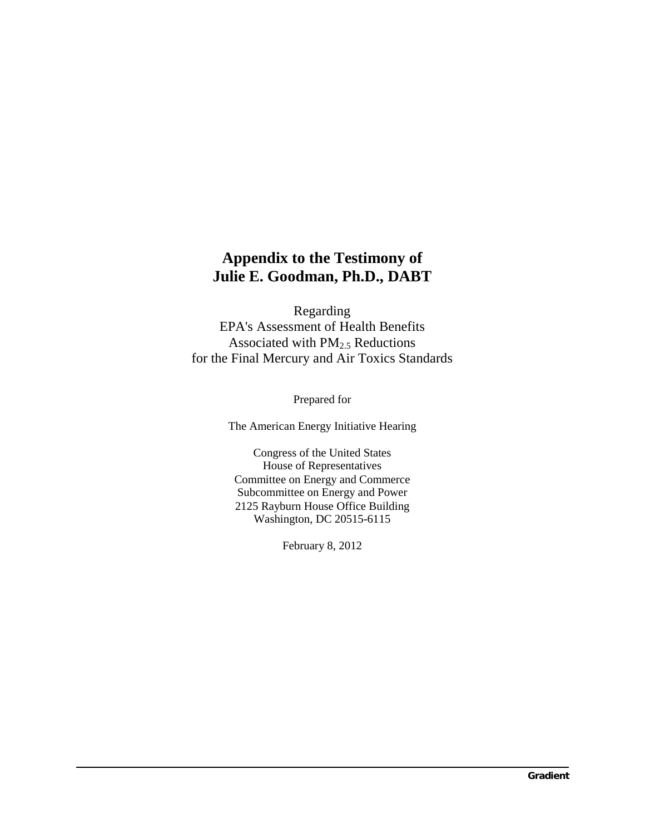# **Appendix to the Testimony of Julie E. Goodman, Ph.D., DABT**

Regarding EPA's Assessment of Health Benefits Associated with  $PM<sub>2.5</sub>$  Reductions for the Final Mercury and Air Toxics Standards

Prepared for

The American Energy Initiative Hearing

Congress of the United States House of Representatives Committee on Energy and Commerce Subcommittee on Energy and Power 2125 Rayburn House Office Building Washington, DC 20515-6115

February 8, 2012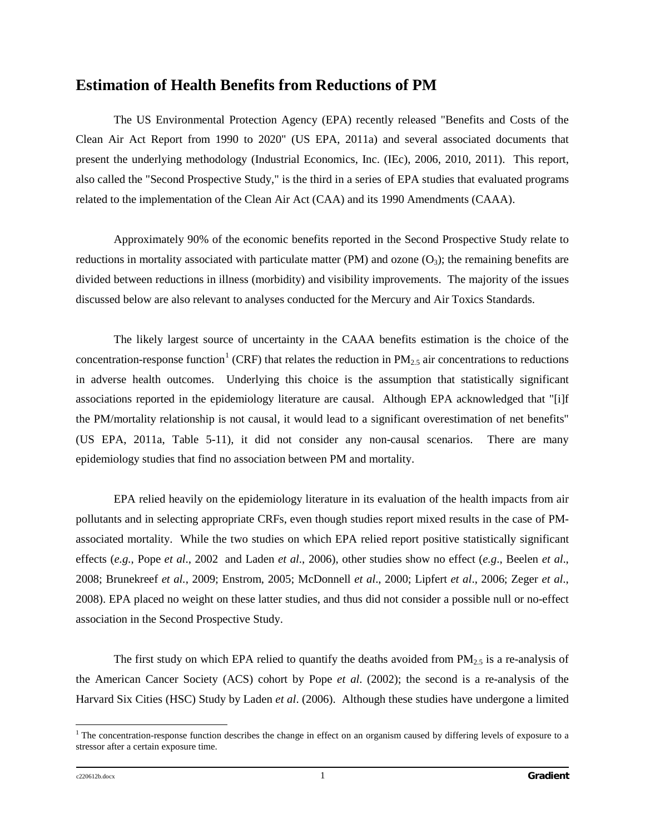# **Estimation of Health Benefits from Reductions of PM**

The US Environmental Protection Agency (EPA) recently released "Benefits and Costs of the Clean Air Act Report from 1990 to 2020" (US EPA, 2011a) and several associated documents that present the underlying methodology (Industrial Economics, Inc. (IEc), 2006, 2010, 2011). This report, also called the "Second Prospective Study," is the third in a series of EPA studies that evaluated programs related to the implementation of the Clean Air Act (CAA) and its 1990 Amendments (CAAA).

Approximately 90% of the economic benefits reported in the Second Prospective Study relate to reductions in mortality associated with particulate matter (PM) and ozone  $(O_3)$ ; the remaining benefits are divided between reductions in illness (morbidity) and visibility improvements. The majority of the issues discussed below are also relevant to analyses conducted for the Mercury and Air Toxics Standards.

The likely largest source of uncertainty in the CAAA benefits estimation is the choice of the concentration-response function<sup>[1](#page-8-0)</sup> (CRF) that relates the reduction in  $PM_{2.5}$  air concentrations to reductions in adverse health outcomes. Underlying this choice is the assumption that statistically significant associations reported in the epidemiology literature are causal. Although EPA acknowledged that "[i]f the PM/mortality relationship is not causal, it would lead to a significant overestimation of net benefits" (US EPA, 2011a, Table 5-11), it did not consider any non-causal scenarios. There are many epidemiology studies that find no association between PM and mortality.

EPA relied heavily on the epidemiology literature in its evaluation of the health impacts from air pollutants and in selecting appropriate CRFs, even though studies report mixed results in the case of PMassociated mortality. While the two studies on which EPA relied report positive statistically significant effects (*e.g.*, Pope *et al*., 2002 and Laden *et al*., 2006), other studies show no effect (*e.g*., Beelen *et al*., 2008; Brunekreef *et al.*, 2009; Enstrom, 2005; McDonnell *et al*., 2000; Lipfert *et al*., 2006; Zeger *et al*., 2008). EPA placed no weight on these latter studies, and thus did not consider a possible null or no-effect association in the Second Prospective Study.

The first study on which EPA relied to quantify the deaths avoided from  $PM_{2.5}$  is a re-analysis of the American Cancer Society (ACS) cohort by Pope *et al*. (2002); the second is a re-analysis of the Harvard Six Cities (HSC) Study by Laden *et al*. (2006). Although these studies have undergone a limited

<span id="page-8-0"></span> $1$  The concentration-response function describes the change in effect on an organism caused by differing levels of exposure to a stressor after a certain exposure time.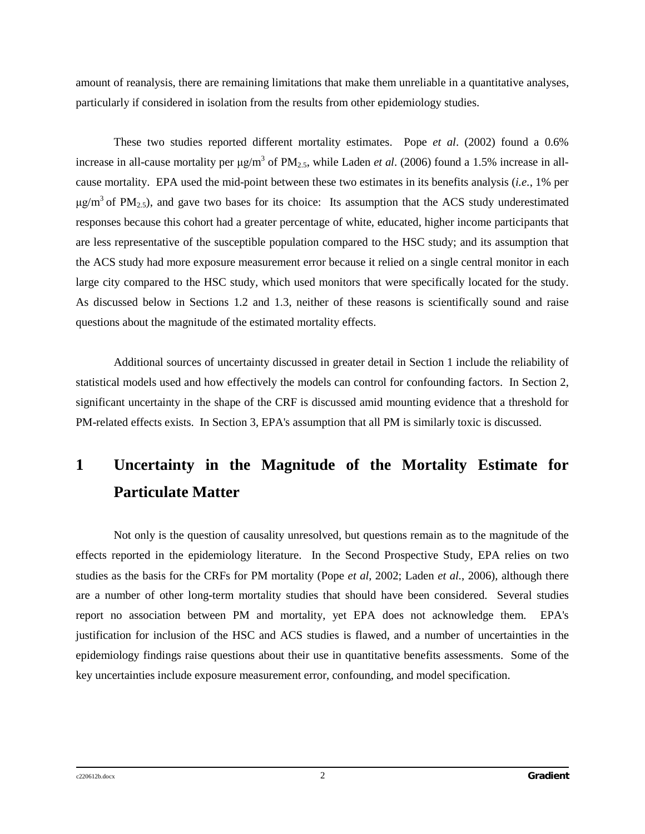amount of reanalysis, there are remaining limitations that make them unreliable in a quantitative analyses, particularly if considered in isolation from the results from other epidemiology studies.

These two studies reported different mortality estimates. Pope *et al*. (2002) found a 0.6% increase in all-cause mortality per  $\mu$ g/m<sup>3</sup> of PM<sub>2.5</sub>, while Laden *et al.* (2006) found a 1.5% increase in allcause mortality. EPA used the mid-point between these two estimates in its benefits analysis (*i.e.*, 1% per  $\mu$ g/m<sup>3</sup> of PM<sub>2.5</sub>), and gave two bases for its choice: Its assumption that the ACS study underestimated responses because this cohort had a greater percentage of white, educated, higher income participants that are less representative of the susceptible population compared to the HSC study; and its assumption that the ACS study had more exposure measurement error because it relied on a single central monitor in each large city compared to the HSC study, which used monitors that were specifically located for the study. As discussed below in Sections 1.2 and 1.3, neither of these reasons is scientifically sound and raise questions about the magnitude of the estimated mortality effects.

Additional sources of uncertainty discussed in greater detail in Section 1 include the reliability of statistical models used and how effectively the models can control for confounding factors. In Section 2, significant uncertainty in the shape of the CRF is discussed amid mounting evidence that a threshold for PM-related effects exists. In Section 3, EPA's assumption that all PM is similarly toxic is discussed.

# **1 Uncertainty in the Magnitude of the Mortality Estimate for Particulate Matter**

Not only is the question of causality unresolved, but questions remain as to the magnitude of the effects reported in the epidemiology literature. In the Second Prospective Study, EPA relies on two studies as the basis for the CRFs for PM mortality (Pope *et al*, 2002; Laden *et al.*, 2006), although there are a number of other long-term mortality studies that should have been considered. Several studies report no association between PM and mortality, yet EPA does not acknowledge them. EPA's justification for inclusion of the HSC and ACS studies is flawed, and a number of uncertainties in the epidemiology findings raise questions about their use in quantitative benefits assessments. Some of the key uncertainties include exposure measurement error, confounding, and model specification.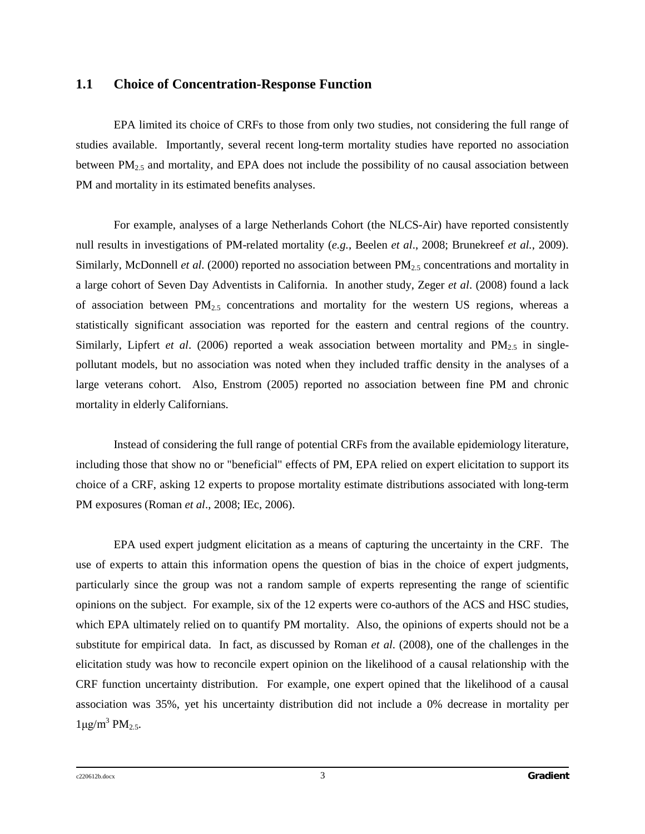### **1.1 Choice of Concentration-Response Function**

EPA limited its choice of CRFs to those from only two studies, not considering the full range of studies available. Importantly, several recent long-term mortality studies have reported no association between  $PM_{2.5}$  and mortality, and EPA does not include the possibility of no causal association between PM and mortality in its estimated benefits analyses.

For example, analyses of a large Netherlands Cohort (the NLCS-Air) have reported consistently null results in investigations of PM-related mortality (*e.g.*, Beelen *et al*., 2008; Brunekreef *et al.*, 2009). Similarly, McDonnell *et al.* (2000) reported no association between PM<sub>2.5</sub> concentrations and mortality in a large cohort of Seven Day Adventists in California. In another study, Zeger *et al*. (2008) found a lack of association between  $PM_{2.5}$  concentrations and mortality for the western US regions, whereas a statistically significant association was reported for the eastern and central regions of the country. Similarly, Lipfert *et al.* (2006) reported a weak association between mortality and  $PM_{2.5}$  in singlepollutant models, but no association was noted when they included traffic density in the analyses of a large veterans cohort. Also, Enstrom (2005) reported no association between fine PM and chronic mortality in elderly Californians.

Instead of considering the full range of potential CRFs from the available epidemiology literature, including those that show no or "beneficial" effects of PM, EPA relied on expert elicitation to support its choice of a CRF, asking 12 experts to propose mortality estimate distributions associated with long-term PM exposures (Roman *et al*., 2008; IEc, 2006).

EPA used expert judgment elicitation as a means of capturing the uncertainty in the CRF. The use of experts to attain this information opens the question of bias in the choice of expert judgments, particularly since the group was not a random sample of experts representing the range of scientific opinions on the subject. For example, six of the 12 experts were co-authors of the ACS and HSC studies, which EPA ultimately relied on to quantify PM mortality. Also, the opinions of experts should not be a substitute for empirical data. In fact, as discussed by Roman *et al*. (2008), one of the challenges in the elicitation study was how to reconcile expert opinion on the likelihood of a causal relationship with the CRF function uncertainty distribution. For example, one expert opined that the likelihood of a causal association was 35%, yet his uncertainty distribution did not include a 0% decrease in mortality per  $1 \mu g/m^3$  PM<sub>2.5</sub>.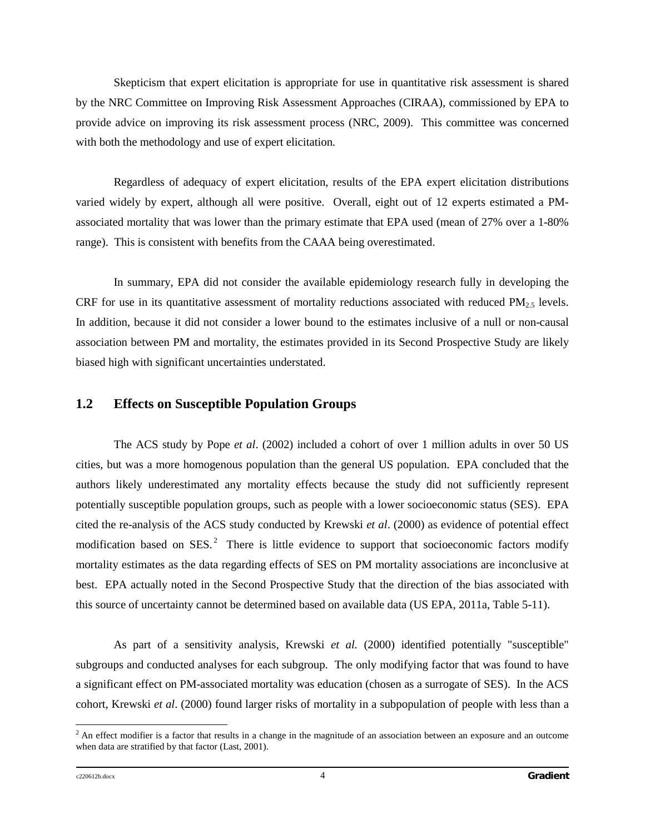Skepticism that expert elicitation is appropriate for use in quantitative risk assessment is shared by the NRC Committee on Improving Risk Assessment Approaches (CIRAA), commissioned by EPA to provide advice on improving its risk assessment process (NRC, 2009). This committee was concerned with both the methodology and use of expert elicitation.

Regardless of adequacy of expert elicitation, results of the EPA expert elicitation distributions varied widely by expert, although all were positive. Overall, eight out of 12 experts estimated a PMassociated mortality that was lower than the primary estimate that EPA used (mean of 27% over a 1-80% range). This is consistent with benefits from the CAAA being overestimated.

In summary, EPA did not consider the available epidemiology research fully in developing the CRF for use in its quantitative assessment of mortality reductions associated with reduced  $PM<sub>25</sub>$  levels. In addition, because it did not consider a lower bound to the estimates inclusive of a null or non-causal association between PM and mortality, the estimates provided in its Second Prospective Study are likely biased high with significant uncertainties understated.

### **1.2 Effects on Susceptible Population Groups**

The ACS study by Pope *et al*. (2002) included a cohort of over 1 million adults in over 50 US cities, but was a more homogenous population than the general US population. EPA concluded that the authors likely underestimated any mortality effects because the study did not sufficiently represent potentially susceptible population groups, such as people with a lower socioeconomic status (SES). EPA cited the re-analysis of the ACS study conducted by Krewski *et al*. (2000) as evidence of potential effect modification based on SES.<sup>[2](#page-11-0)</sup> There is little evidence to support that socioeconomic factors modify mortality estimates as the data regarding effects of SES on PM mortality associations are inconclusive at best. EPA actually noted in the Second Prospective Study that the direction of the bias associated with this source of uncertainty cannot be determined based on available data (US EPA, 2011a, Table 5-11).

As part of a sensitivity analysis, Krewski *et al.* (2000) identified potentially "susceptible" subgroups and conducted analyses for each subgroup. The only modifying factor that was found to have a significant effect on PM-associated mortality was education (chosen as a surrogate of SES). In the ACS cohort, Krewski *et al*. (2000) found larger risks of mortality in a subpopulation of people with less than a

<span id="page-11-0"></span> $2$  An effect modifier is a factor that results in a change in the magnitude of an association between an exposure and an outcome when data are stratified by that factor (Last, 2001).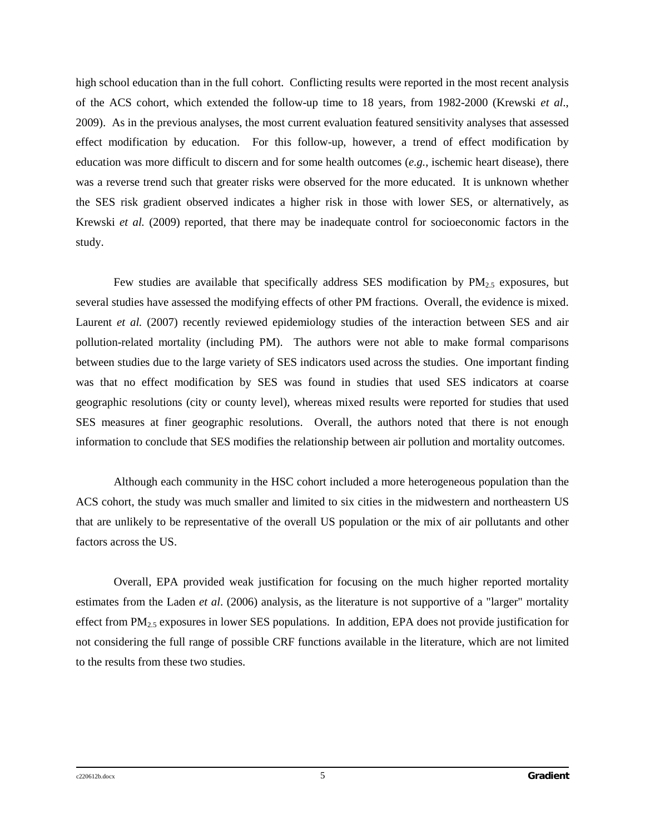high school education than in the full cohort. Conflicting results were reported in the most recent analysis of the ACS cohort, which extended the follow-up time to 18 years, from 1982-2000 (Krewski *et al*., 2009). As in the previous analyses, the most current evaluation featured sensitivity analyses that assessed effect modification by education. For this follow-up, however, a trend of effect modification by education was more difficult to discern and for some health outcomes (*e.g.*, ischemic heart disease), there was a reverse trend such that greater risks were observed for the more educated. It is unknown whether the SES risk gradient observed indicates a higher risk in those with lower SES, or alternatively, as Krewski *et al.* (2009) reported, that there may be inadequate control for socioeconomic factors in the study.

Few studies are available that specifically address SES modification by  $PM_{2.5}$  exposures, but several studies have assessed the modifying effects of other PM fractions. Overall, the evidence is mixed. Laurent *et al.* (2007) recently reviewed epidemiology studies of the interaction between SES and air pollution-related mortality (including PM). The authors were not able to make formal comparisons between studies due to the large variety of SES indicators used across the studies. One important finding was that no effect modification by SES was found in studies that used SES indicators at coarse geographic resolutions (city or county level), whereas mixed results were reported for studies that used SES measures at finer geographic resolutions. Overall, the authors noted that there is not enough information to conclude that SES modifies the relationship between air pollution and mortality outcomes.

Although each community in the HSC cohort included a more heterogeneous population than the ACS cohort, the study was much smaller and limited to six cities in the midwestern and northeastern US that are unlikely to be representative of the overall US population or the mix of air pollutants and other factors across the US.

Overall, EPA provided weak justification for focusing on the much higher reported mortality estimates from the Laden *et al*. (2006) analysis, as the literature is not supportive of a "larger" mortality effect from  $PM_{2.5}$  exposures in lower SES populations. In addition, EPA does not provide justification for not considering the full range of possible CRF functions available in the literature, which are not limited to the results from these two studies.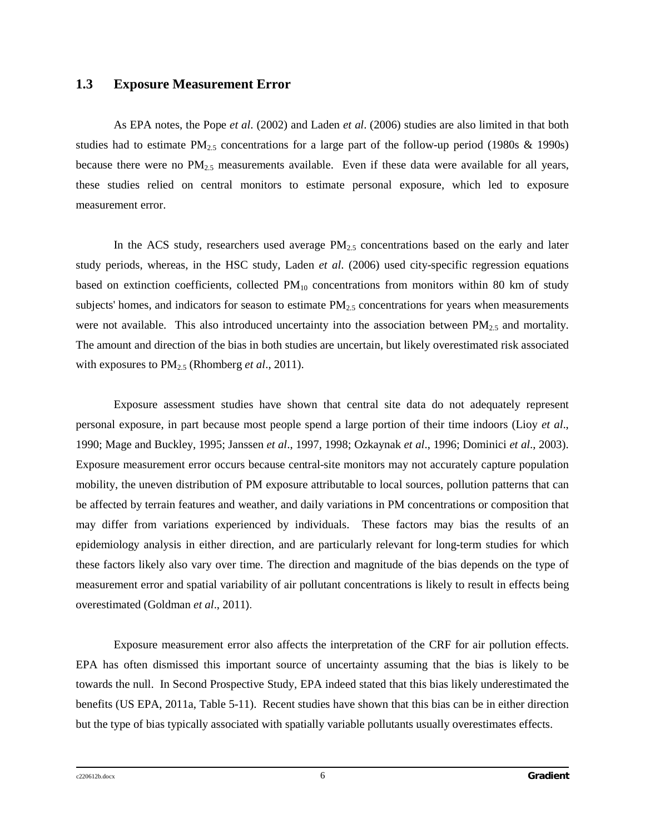### **1.3 Exposure Measurement Error**

As EPA notes, the Pope *et al*. (2002) and Laden *et al*. (2006) studies are also limited in that both studies had to estimate  $PM_{2.5}$  concentrations for a large part of the follow-up period (1980s & 1990s) because there were no  $PM_{2.5}$  measurements available. Even if these data were available for all years, these studies relied on central monitors to estimate personal exposure, which led to exposure measurement error.

In the ACS study, researchers used average  $PM_{2.5}$  concentrations based on the early and later study periods, whereas, in the HSC study, Laden *et al*. (2006) used city-specific regression equations based on extinction coefficients, collected  $PM_{10}$  concentrations from monitors within 80 km of study subjects' homes, and indicators for season to estimate  $PM_{2.5}$  concentrations for years when measurements were not available. This also introduced uncertainty into the association between  $PM_{2.5}$  and mortality. The amount and direction of the bias in both studies are uncertain, but likely overestimated risk associated with exposures to PM<sub>2.5</sub> (Rhomberg *et al.*, 2011).

Exposure assessment studies have shown that central site data do not adequately represent personal exposure, in part because most people spend a large portion of their time indoors (Lioy *et al*., 1990; Mage and Buckley, 1995; Janssen *et al*., 1997, 1998; Ozkaynak *et al*., 1996; Dominici *et al*., 2003). Exposure measurement error occurs because central-site monitors may not accurately capture population mobility, the uneven distribution of PM exposure attributable to local sources, pollution patterns that can be affected by terrain features and weather, and daily variations in PM concentrations or composition that may differ from variations experienced by individuals. These factors may bias the results of an epidemiology analysis in either direction, and are particularly relevant for long-term studies for which these factors likely also vary over time. The direction and magnitude of the bias depends on the type of measurement error and spatial variability of air pollutant concentrations is likely to result in effects being overestimated (Goldman *et al*., 2011).

Exposure measurement error also affects the interpretation of the CRF for air pollution effects. EPA has often dismissed this important source of uncertainty assuming that the bias is likely to be towards the null. In Second Prospective Study, EPA indeed stated that this bias likely underestimated the benefits (US EPA, 2011a, Table 5-11). Recent studies have shown that this bias can be in either direction but the type of bias typically associated with spatially variable pollutants usually overestimates effects.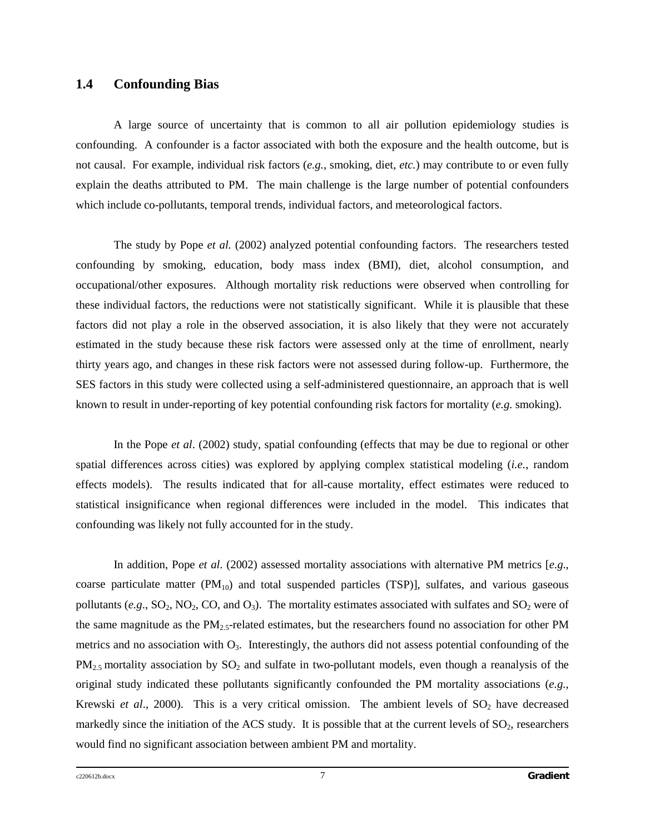### **1.4 Confounding Bias**

A large source of uncertainty that is common to all air pollution epidemiology studies is confounding. A confounder is a factor associated with both the exposure and the health outcome, but is not causal. For example, individual risk factors (*e.g.*, smoking, diet, *etc.*) may contribute to or even fully explain the deaths attributed to PM. The main challenge is the large number of potential confounders which include co-pollutants, temporal trends, individual factors, and meteorological factors.

The study by Pope *et al.* (2002) analyzed potential confounding factors. The researchers tested confounding by smoking, education, body mass index (BMI), diet, alcohol consumption, and occupational/other exposures. Although mortality risk reductions were observed when controlling for these individual factors, the reductions were not statistically significant. While it is plausible that these factors did not play a role in the observed association, it is also likely that they were not accurately estimated in the study because these risk factors were assessed only at the time of enrollment, nearly thirty years ago, and changes in these risk factors were not assessed during follow-up. Furthermore, the SES factors in this study were collected using a self-administered questionnaire, an approach that is well known to result in under-reporting of key potential confounding risk factors for mortality (*e.g.* smoking).

In the Pope *et al*. (2002) study, spatial confounding (effects that may be due to regional or other spatial differences across cities) was explored by applying complex statistical modeling (*i.e.*, random effects models). The results indicated that for all-cause mortality, effect estimates were reduced to statistical insignificance when regional differences were included in the model. This indicates that confounding was likely not fully accounted for in the study.

In addition, Pope *et al*. (2002) assessed mortality associations with alternative PM metrics [*e.g*., coarse particulate matter (PM<sub>10</sub>) and total suspended particles (TSP)], sulfates, and various gaseous pollutants  $(e.g., SO_2, NO_2, CO, and O_3)$ . The mortality estimates associated with sulfates and  $SO_2$  were of the same magnitude as the  $PM_{2.5}$ -related estimates, but the researchers found no association for other PM metrics and no association with  $O_3$ . Interestingly, the authors did not assess potential confounding of the  $PM_{2.5}$  mortality association by  $SO_2$  and sulfate in two-pollutant models, even though a reanalysis of the original study indicated these pollutants significantly confounded the PM mortality associations (*e.g.*, Krewski *et al.*, 2000). This is a very critical omission. The ambient levels of  $SO_2$  have decreased markedly since the initiation of the ACS study. It is possible that at the current levels of  $SO_2$ , researchers would find no significant association between ambient PM and mortality.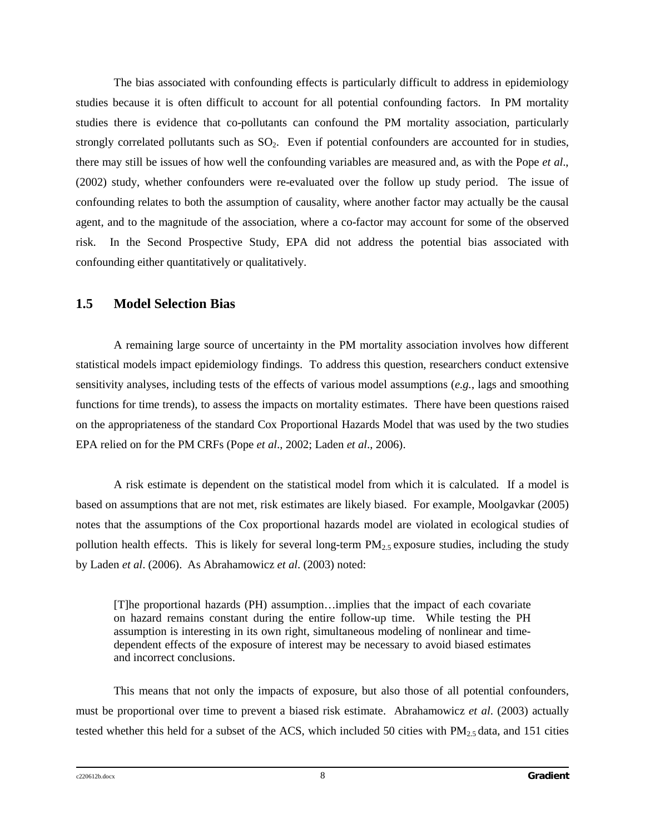The bias associated with confounding effects is particularly difficult to address in epidemiology studies because it is often difficult to account for all potential confounding factors. In PM mortality studies there is evidence that co-pollutants can confound the PM mortality association, particularly strongly correlated pollutants such as  $SO<sub>2</sub>$ . Even if potential confounders are accounted for in studies, there may still be issues of how well the confounding variables are measured and, as with the Pope *et al*., (2002) study, whether confounders were re-evaluated over the follow up study period. The issue of confounding relates to both the assumption of causality, where another factor may actually be the causal agent, and to the magnitude of the association, where a co-factor may account for some of the observed risk. In the Second Prospective Study, EPA did not address the potential bias associated with confounding either quantitatively or qualitatively.

### **1.5 Model Selection Bias**

A remaining large source of uncertainty in the PM mortality association involves how different statistical models impact epidemiology findings. To address this question, researchers conduct extensive sensitivity analyses, including tests of the effects of various model assumptions (*e.g.*, lags and smoothing functions for time trends), to assess the impacts on mortality estimates. There have been questions raised on the appropriateness of the standard Cox Proportional Hazards Model that was used by the two studies EPA relied on for the PM CRFs (Pope *et al*., 2002; Laden *et al*., 2006).

A risk estimate is dependent on the statistical model from which it is calculated. If a model is based on assumptions that are not met, risk estimates are likely biased. For example, Moolgavkar (2005) notes that the assumptions of the Cox proportional hazards model are violated in ecological studies of pollution health effects. This is likely for several long-term  $PM<sub>2.5</sub>$  exposure studies, including the study by Laden *et al*. (2006). As Abrahamowicz *et al*. (2003) noted:

[T]he proportional hazards (PH) assumption…implies that the impact of each covariate on hazard remains constant during the entire follow-up time. While testing the PH assumption is interesting in its own right, simultaneous modeling of nonlinear and timedependent effects of the exposure of interest may be necessary to avoid biased estimates and incorrect conclusions.

This means that not only the impacts of exposure, but also those of all potential confounders, must be proportional over time to prevent a biased risk estimate. Abrahamowicz *et al*. (2003) actually tested whether this held for a subset of the ACS, which included 50 cities with  $PM_{2.5}$  data, and 151 cities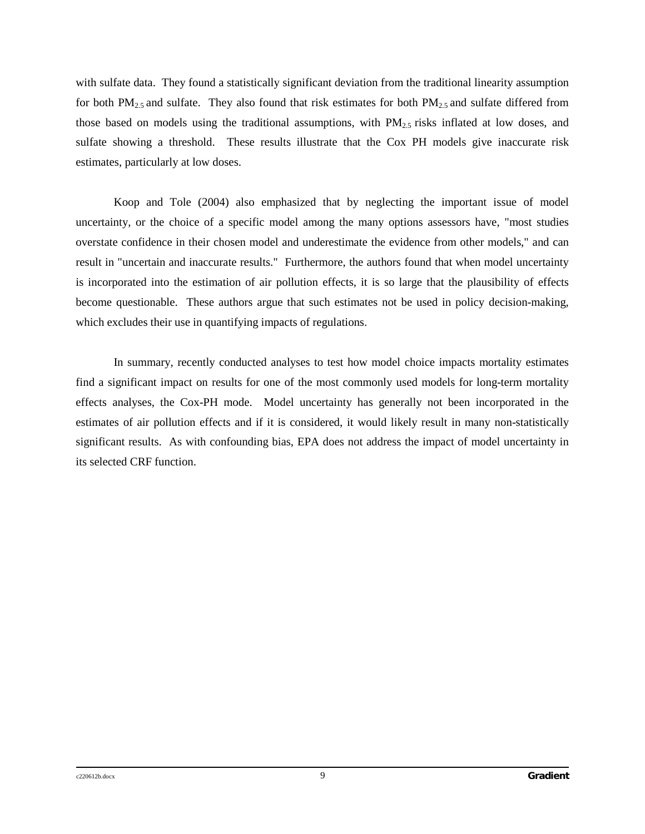with sulfate data. They found a statistically significant deviation from the traditional linearity assumption for both  $PM_{2.5}$  and sulfate. They also found that risk estimates for both  $PM_{2.5}$  and sulfate differed from those based on models using the traditional assumptions, with  $PM_{2.5}$  risks inflated at low doses, and sulfate showing a threshold. These results illustrate that the Cox PH models give inaccurate risk estimates, particularly at low doses.

Koop and Tole (2004) also emphasized that by neglecting the important issue of model uncertainty, or the choice of a specific model among the many options assessors have, "most studies overstate confidence in their chosen model and underestimate the evidence from other models," and can result in "uncertain and inaccurate results." Furthermore, the authors found that when model uncertainty is incorporated into the estimation of air pollution effects, it is so large that the plausibility of effects become questionable. These authors argue that such estimates not be used in policy decision-making, which excludes their use in quantifying impacts of regulations.

In summary, recently conducted analyses to test how model choice impacts mortality estimates find a significant impact on results for one of the most commonly used models for long-term mortality effects analyses, the Cox-PH mode. Model uncertainty has generally not been incorporated in the estimates of air pollution effects and if it is considered, it would likely result in many non-statistically significant results. As with confounding bias, EPA does not address the impact of model uncertainty in its selected CRF function.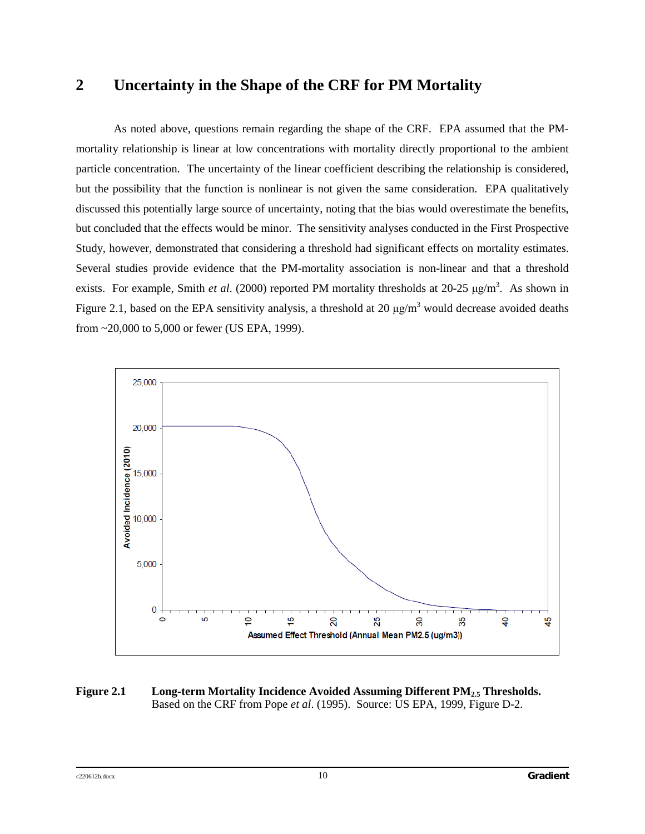# **2 Uncertainty in the Shape of the CRF for PM Mortality**

As noted above, questions remain regarding the shape of the CRF. EPA assumed that the PMmortality relationship is linear at low concentrations with mortality directly proportional to the ambient particle concentration. The uncertainty of the linear coefficient describing the relationship is considered, but the possibility that the function is nonlinear is not given the same consideration. EPA qualitatively discussed this potentially large source of uncertainty, noting that the bias would overestimate the benefits, but concluded that the effects would be minor. The sensitivity analyses conducted in the First Prospective Study, however, demonstrated that considering a threshold had significant effects on mortality estimates. Several studies provide evidence that the PM-mortality association is non-linear and that a threshold exists. For example, Smith *et al.* (2000) reported PM mortality thresholds at 20-25 μg/m<sup>3</sup>. As shown in Figure 2.1, based on the EPA sensitivity analysis, a threshold at 20  $\mu$ g/m<sup>3</sup> would decrease avoided deaths from ~20,000 to 5,000 or fewer (US EPA, 1999).



#### **Figure 2.1 Long-term Mortality Incidence Avoided Assuming Different PM2.5 Thresholds.** Based on the CRF from Pope *et al*. (1995). Source: US EPA, 1999, Figure D-2.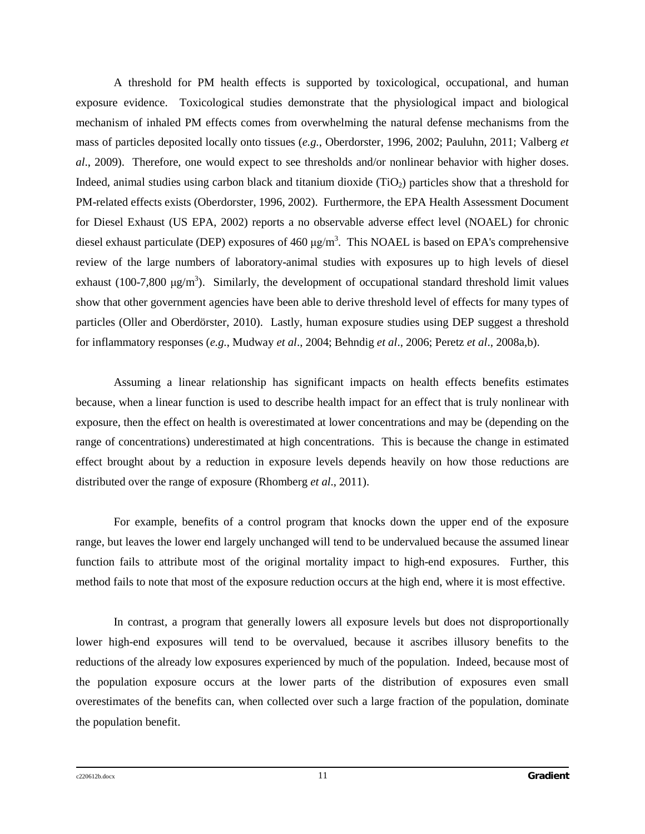A threshold for PM health effects is supported by toxicological, occupational, and human exposure evidence. Toxicological studies demonstrate that the physiological impact and biological mechanism of inhaled PM effects comes from overwhelming the natural defense mechanisms from the mass of particles deposited locally onto tissues (*e.g.*, Oberdorster, 1996, 2002; Pauluhn, 2011; Valberg *et al*., 2009). Therefore, one would expect to see thresholds and/or nonlinear behavior with higher doses. Indeed, animal studies using carbon black and titanium dioxide (TiO<sub>2</sub>) particles show that a threshold for PM-related effects exists (Oberdorster, 1996, 2002). Furthermore, the EPA Health Assessment Document for Diesel Exhaust (US EPA, 2002) reports a no observable adverse effect level (NOAEL) for chronic diesel exhaust particulate (DEP) exposures of 460  $\mu$ g/m<sup>3</sup>. This NOAEL is based on EPA's comprehensive review of the large numbers of laboratory-animal studies with exposures up to high levels of diesel exhaust (100-7,800  $\mu$ g/m<sup>3</sup>). Similarly, the development of occupational standard threshold limit values show that other government agencies have been able to derive threshold level of effects for many types of particles (Oller and Oberdörster, 2010). Lastly, human exposure studies using DEP suggest a threshold for inflammatory responses (*e.g.*, Mudway *et al*., 2004; Behndig *et al*., 2006; Peretz *et al*., 2008a,b).

Assuming a linear relationship has significant impacts on health effects benefits estimates because, when a linear function is used to describe health impact for an effect that is truly nonlinear with exposure, then the effect on health is overestimated at lower concentrations and may be (depending on the range of concentrations) underestimated at high concentrations. This is because the change in estimated effect brought about by a reduction in exposure levels depends heavily on how those reductions are distributed over the range of exposure (Rhomberg *et al*., 2011).

For example, benefits of a control program that knocks down the upper end of the exposure range, but leaves the lower end largely unchanged will tend to be undervalued because the assumed linear function fails to attribute most of the original mortality impact to high-end exposures. Further, this method fails to note that most of the exposure reduction occurs at the high end, where it is most effective.

In contrast, a program that generally lowers all exposure levels but does not disproportionally lower high-end exposures will tend to be overvalued, because it ascribes illusory benefits to the reductions of the already low exposures experienced by much of the population. Indeed, because most of the population exposure occurs at the lower parts of the distribution of exposures even small overestimates of the benefits can, when collected over such a large fraction of the population, dominate the population benefit.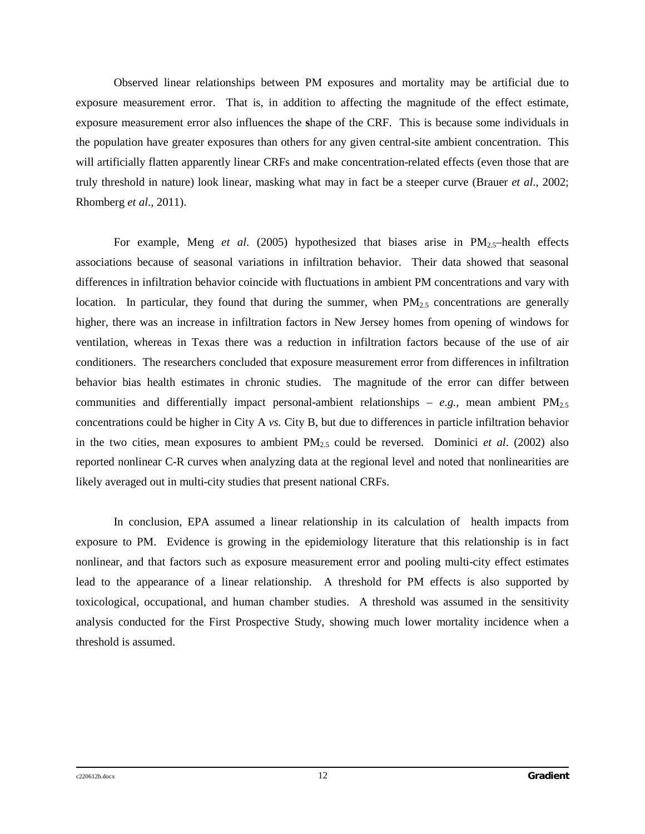Observed linear relationships between PM exposures and mortality may be artificial due to exposure measurement error. That is, in addition to affecting the magnitude of the effect estimate, exposure measurement error also influences the **s**hape of the CRF. This is because some individuals in the population have greater exposures than others for any given central-site ambient concentration. This will artificially flatten apparently linear CRFs and make concentration-related effects (even those that are truly threshold in nature) look linear, masking what may in fact be a steeper curve (Brauer *et al*., 2002; Rhomberg *et al*., 2011).

For example, Meng *et al.* (2005) hypothesized that biases arise in  $PM_{2,5}$ -health effects associations because of seasonal variations in infiltration behavior. Their data showed that seasonal differences in infiltration behavior coincide with fluctuations in ambient PM concentrations and vary with location. In particular, they found that during the summer, when  $PM_{2.5}$  concentrations are generally higher, there was an increase in infiltration factors in New Jersey homes from opening of windows for ventilation, whereas in Texas there was a reduction in infiltration factors because of the use of air conditioners. The researchers concluded that exposure measurement error from differences in infiltration behavior bias health estimates in chronic studies. The magnitude of the error can differ between communities and differentially impact personal-ambient relationships –  $e.g.,$  mean ambient  $PM_{2.5}$ concentrations could be higher in City A *vs.* City B, but due to differences in particle infiltration behavior in the two cities, mean exposures to ambient  $PM_{2.5}$  could be reversed. Dominici *et al.* (2002) also reported nonlinear C-R curves when analyzing data at the regional level and noted that nonlinearities are likely averaged out in multi-city studies that present national CRFs.

In conclusion, EPA assumed a linear relationship in its calculation of health impacts from exposure to PM. Evidence is growing in the epidemiology literature that this relationship is in fact nonlinear, and that factors such as exposure measurement error and pooling multi-city effect estimates lead to the appearance of a linear relationship. A threshold for PM effects is also supported by toxicological, occupational, and human chamber studies. A threshold was assumed in the sensitivity analysis conducted for the First Prospective Study, showing much lower mortality incidence when a threshold is assumed.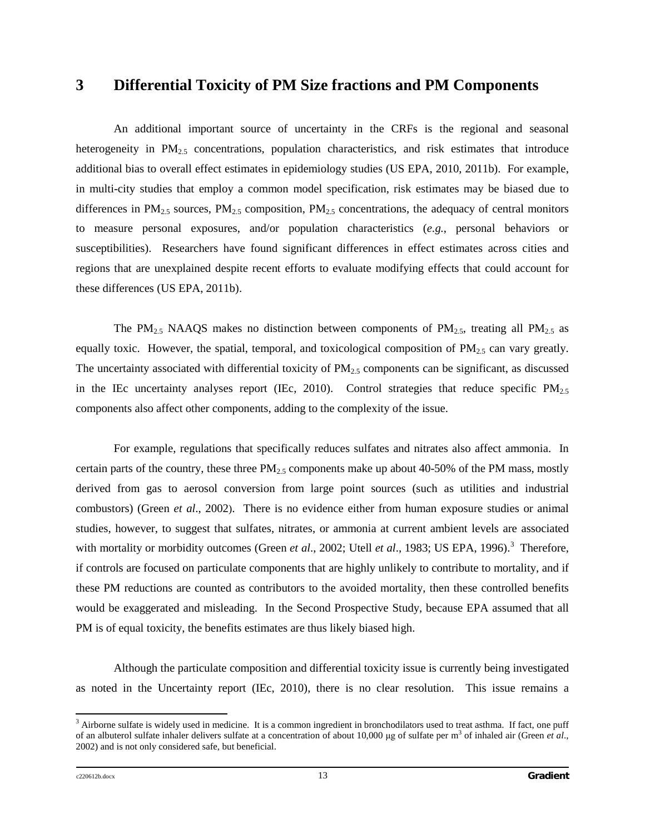### **3 Differential Toxicity of PM Size fractions and PM Components**

An additional important source of uncertainty in the CRFs is the regional and seasonal heterogeneity in  $PM_{2.5}$  concentrations, population characteristics, and risk estimates that introduce additional bias to overall effect estimates in epidemiology studies (US EPA, 2010, 2011b). For example, in multi-city studies that employ a common model specification, risk estimates may be biased due to differences in  $PM_{2.5}$  sources,  $PM_{2.5}$  composition,  $PM_{2.5}$  concentrations, the adequacy of central monitors to measure personal exposures, and/or population characteristics (*e.g.*, personal behaviors or susceptibilities). Researchers have found significant differences in effect estimates across cities and regions that are unexplained despite recent efforts to evaluate modifying effects that could account for these differences (US EPA, 2011b).

The PM<sub>2.5</sub> NAAQS makes no distinction between components of PM<sub>2.5</sub>, treating all PM<sub>2.5</sub> as equally toxic. However, the spatial, temporal, and toxicological composition of  $PM_{2.5}$  can vary greatly. The uncertainty associated with differential toxicity of  $PM_{2.5}$  components can be significant, as discussed in the IEc uncertainty analyses report (IEc, 2010). Control strategies that reduce specific  $PM_{2.5}$ components also affect other components, adding to the complexity of the issue.

For example, regulations that specifically reduces sulfates and nitrates also affect ammonia. In certain parts of the country, these three  $PM_{2.5}$  components make up about 40-50% of the PM mass, mostly derived from gas to aerosol conversion from large point sources (such as utilities and industrial combustors) (Green *et al*., 2002). There is no evidence either from human exposure studies or animal studies, however, to suggest that sulfates, nitrates, or ammonia at current ambient levels are associated with mortality or morbidity outcomes (Green *et al.*, 2002; Utell *et al.*, 198[3](#page-20-0); US EPA, 1996).<sup>3</sup> Therefore, if controls are focused on particulate components that are highly unlikely to contribute to mortality, and if these PM reductions are counted as contributors to the avoided mortality, then these controlled benefits would be exaggerated and misleading. In the Second Prospective Study, because EPA assumed that all PM is of equal toxicity, the benefits estimates are thus likely biased high.

Although the particulate composition and differential toxicity issue is currently being investigated as noted in the Uncertainty report (IEc, 2010), there is no clear resolution. This issue remains a

<span id="page-20-0"></span> $3$  Airborne sulfate is widely used in medicine. It is a common ingredient in bronchodilators used to treat asthma. If fact, one puff of an albuterol sulfate inhaler delivers sulfate at a concentration of about 10,000 μg of sulfate per m3 of inhaled air (Green *et al*., 2002) and is not only considered safe, but beneficial.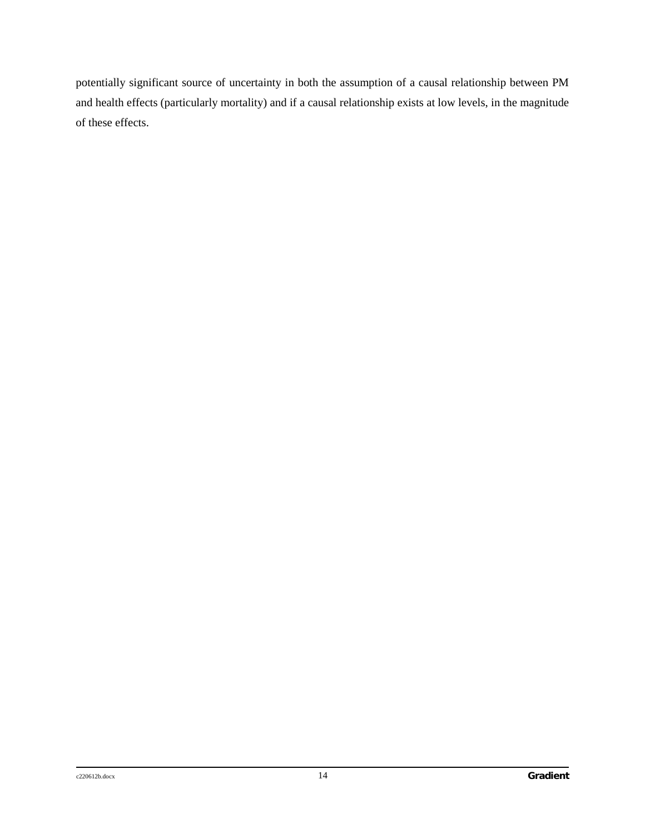potentially significant source of uncertainty in both the assumption of a causal relationship between PM and health effects (particularly mortality) and if a causal relationship exists at low levels, in the magnitude of these effects.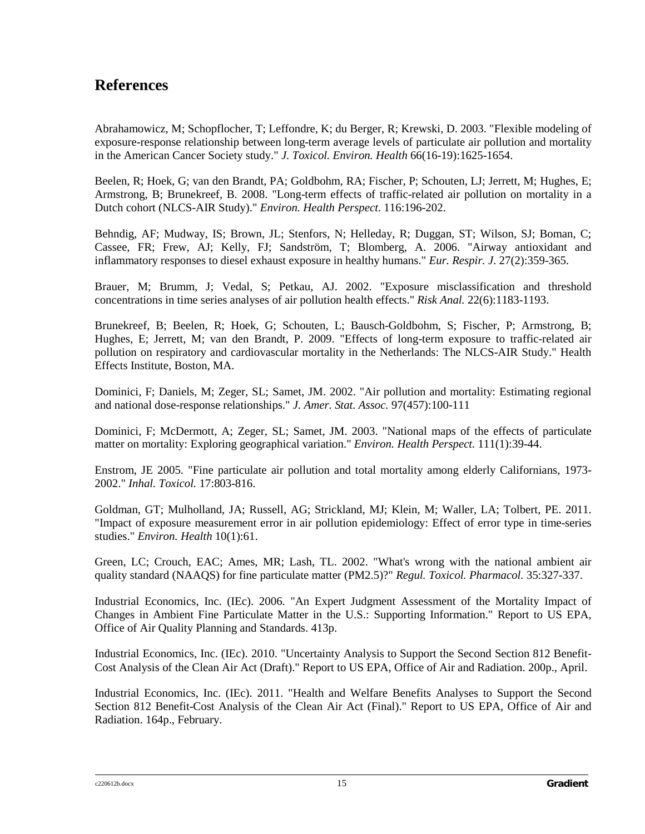# **References**

Abrahamowicz, M; Schopflocher, T; Leffondre, K; du Berger, R; Krewski, D. 2003. "Flexible modeling of exposure-response relationship between long-term average levels of particulate air pollution and mortality in the American Cancer Society study." *J. Toxicol. Environ. Health* 66(16-19):1625-1654.

Beelen, R; Hoek, G; van den Brandt, PA; Goldbohm, RA; Fischer, P; Schouten, LJ; Jerrett, M; Hughes, E; Armstrong, B; Brunekreef, B. 2008. "Long-term effects of traffic-related air pollution on mortality in a Dutch cohort (NLCS-AIR Study)." *Environ. Health Perspect.* 116:196-202.

Behndig, AF; Mudway, IS; Brown, JL; Stenfors, N; Helleday, R; Duggan, ST; Wilson, SJ; Boman, C; Cassee, FR; Frew, AJ; Kelly, FJ; Sandström, T; Blomberg, A. 2006. "Airway antioxidant and inflammatory responses to diesel exhaust exposure in healthy humans." *Eur. Respir. J.* 27(2):359-365.

Brauer, M; Brumm, J; Vedal, S; Petkau, AJ. 2002. "Exposure misclassification and threshold concentrations in time series analyses of air pollution health effects." *Risk Anal.* 22(6):1183-1193.

Brunekreef, B; Beelen, R; Hoek, G; Schouten, L; Bausch-Goldbohm, S; Fischer, P; Armstrong, B; Hughes, E; Jerrett, M; van den Brandt, P. 2009. "Effects of long-term exposure to traffic-related air pollution on respiratory and cardiovascular mortality in the Netherlands: The NLCS-AIR Study." Health Effects Institute, Boston, MA.

Dominici, F; Daniels, M; Zeger, SL; Samet, JM. 2002. "Air pollution and mortality: Estimating regional and national dose-response relationships." *J. Amer. Stat. Assoc.* 97(457):100-111

Dominici, F; McDermott, A; Zeger, SL; Samet, JM. 2003. "National maps of the effects of particulate matter on mortality: Exploring geographical variation." *Environ. Health Perspect.* 111(1):39-44.

Enstrom, JE 2005. "Fine particulate air pollution and total mortality among elderly Californians, 1973- 2002." *Inhal. Toxicol.* 17:803-816.

Goldman, GT; Mulholland, JA; Russell, AG; Strickland, MJ; Klein, M; Waller, LA; Tolbert, PE. 2011. "Impact of exposure measurement error in air pollution epidemiology: Effect of error type in time-series studies." *Environ. Health* 10(1):61.

Green, LC; Crouch, EAC; Ames, MR; Lash, TL. 2002. "What's wrong with the national ambient air quality standard (NAAQS) for fine particulate matter (PM2.5)?" *Regul. Toxicol. Pharmacol.* 35:327-337.

Industrial Economics, Inc. (IEc). 2006. "An Expert Judgment Assessment of the Mortality Impact of Changes in Ambient Fine Particulate Matter in the U.S.: Supporting Information." Report to US EPA, Office of Air Quality Planning and Standards. 413p.

Industrial Economics, Inc. (IEc). 2010. "Uncertainty Analysis to Support the Second Section 812 Benefit-Cost Analysis of the Clean Air Act (Draft)." Report to US EPA, Office of Air and Radiation. 200p., April.

Industrial Economics, Inc. (IEc). 2011. "Health and Welfare Benefits Analyses to Support the Second Section 812 Benefit-Cost Analysis of the Clean Air Act (Final)." Report to US EPA, Office of Air and Radiation. 164p., February.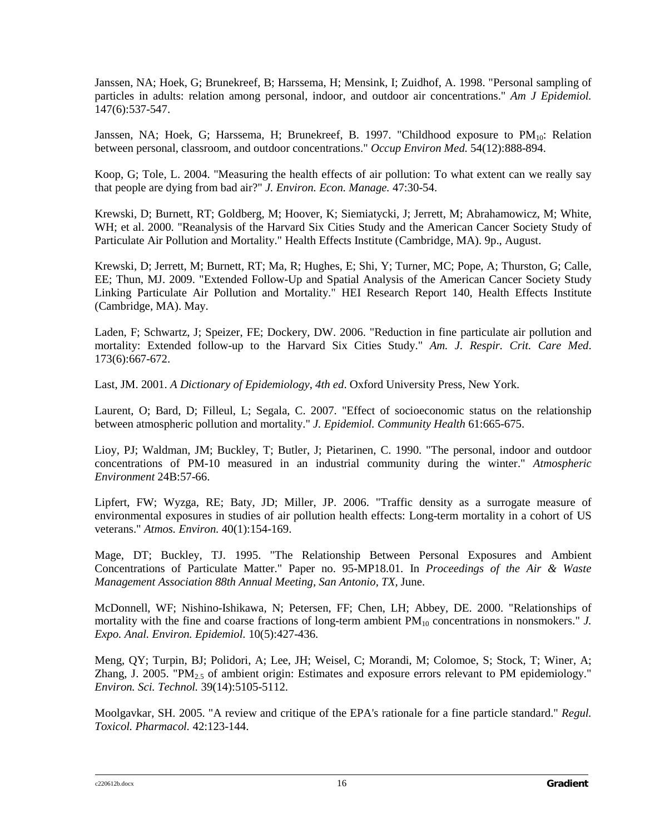Janssen, NA; Hoek, G; Brunekreef, B; Harssema, H; Mensink, I; Zuidhof, A. 1998. "Personal sampling of particles in adults: relation among personal, indoor, and outdoor air concentrations." *Am J Epidemiol.*  147(6):537-547.

Janssen, NA; Hoek, G; Harssema, H; Brunekreef, B. 1997. "Childhood exposure to  $PM_{10}$ : Relation between personal, classroom, and outdoor concentrations." *Occup Environ Med.* 54(12):888-894.

Koop, G; Tole, L. 2004. "Measuring the health effects of air pollution: To what extent can we really say that people are dying from bad air?" *J. Environ. Econ. Manage.* 47:30-54.

Krewski, D; Burnett, RT; Goldberg, M; Hoover, K; Siemiatycki, J; Jerrett, M; Abrahamowicz, M; White, WH; et al. 2000. "Reanalysis of the Harvard Six Cities Study and the American Cancer Society Study of Particulate Air Pollution and Mortality." Health Effects Institute (Cambridge, MA). 9p., August.

Krewski, D; Jerrett, M; Burnett, RT; Ma, R; Hughes, E; Shi, Y; Turner, MC; Pope, A; Thurston, G; Calle, EE; Thun, MJ. 2009. "Extended Follow-Up and Spatial Analysis of the American Cancer Society Study Linking Particulate Air Pollution and Mortality." HEI Research Report 140, Health Effects Institute (Cambridge, MA). May.

Laden, F; Schwartz, J; Speizer, FE; Dockery, DW. 2006. "Reduction in fine particulate air pollution and mortality: Extended follow-up to the Harvard Six Cities Study." *Am. J. Respir. Crit. Care Med*. 173(6):667-672.

Last, JM. 2001. *A Dictionary of Epidemiology*, *4th ed*. Oxford University Press, New York.

Laurent, O; Bard, D; Filleul, L; Segala, C. 2007. "Effect of socioeconomic status on the relationship between atmospheric pollution and mortality." *J. Epidemiol. Community Health* 61:665-675.

Lioy, PJ; Waldman, JM; Buckley, T; Butler, J; Pietarinen, C. 1990. "The personal, indoor and outdoor concentrations of PM-10 measured in an industrial community during the winter." *Atmospheric Environment* 24B:57-66.

Lipfert, FW; Wyzga, RE; Baty, JD; Miller, JP. 2006. "Traffic density as a surrogate measure of environmental exposures in studies of air pollution health effects: Long-term mortality in a cohort of US veterans." *Atmos. Environ.* 40(1):154-169.

Mage, DT; Buckley, TJ. 1995. "The Relationship Between Personal Exposures and Ambient Concentrations of Particulate Matter." Paper no. 95-MP18.01. In *Proceedings of the Air & Waste Management Association 88th Annual Meeting, San Antonio, TX,* June.

McDonnell, WF; Nishino-Ishikawa, N; Petersen, FF; Chen, LH; Abbey, DE. 2000. "Relationships of mortality with the fine and coarse fractions of long-term ambient PM<sub>10</sub> concentrations in nonsmokers." *J. Expo. Anal. Environ. Epidemiol.* 10(5):427-436.

Meng, QY; Turpin, BJ; Polidori, A; Lee, JH; Weisel, C; Morandi, M; Colomoe, S; Stock, T; Winer, A; Zhang, J. 2005. "PM<sub>2.5</sub> of ambient origin: Estimates and exposure errors relevant to PM epidemiology." *Environ. Sci. Technol.* 39(14):5105-5112.

Moolgavkar, SH. 2005. "A review and critique of the EPA's rationale for a fine particle standard." *Regul. Toxicol. Pharmacol.* 42:123-144.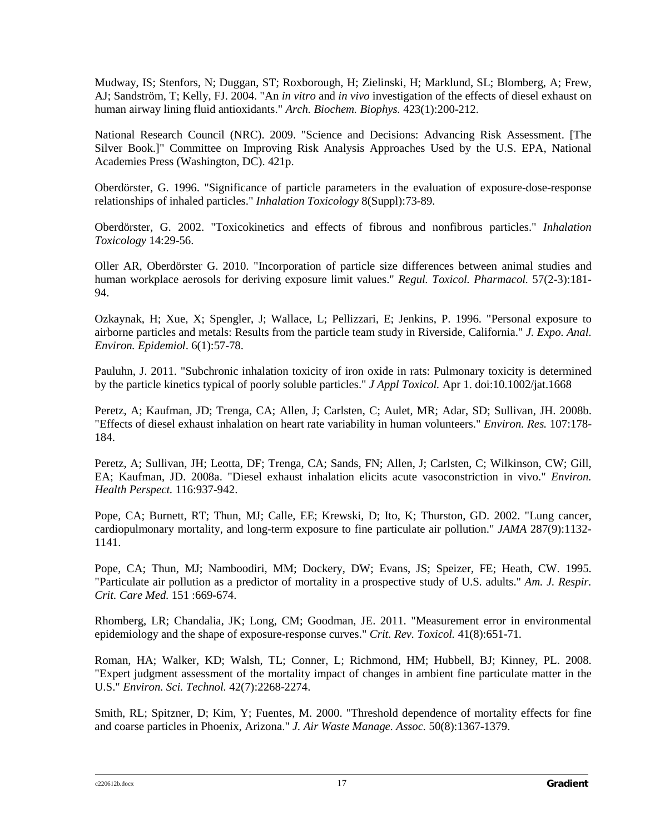Mudway, IS; Stenfors, N; Duggan, ST; Roxborough, H; Zielinski, H; Marklund, SL; Blomberg, A; Frew, AJ; Sandström, T; Kelly, FJ. 2004. "An *in vitro* and *in vivo* investigation of the effects of diesel exhaust on human airway lining fluid antioxidants." *Arch. Biochem. Biophys.* 423(1):200-212.

National Research Council (NRC). 2009. "Science and Decisions: Advancing Risk Assessment. [The Silver Book.]" Committee on Improving Risk Analysis Approaches Used by the U.S. EPA, National Academies Press (Washington, DC). 421p.

Oberdörster, G. 1996. "Significance of particle parameters in the evaluation of exposure-dose-response relationships of inhaled particles." *Inhalation Toxicology* 8(Suppl):73-89.

Oberdörster, G. 2002. "Toxicokinetics and effects of fibrous and nonfibrous particles." *Inhalation Toxicology* 14:29-56.

Oller AR, Oberdörster G. 2010. "Incorporation of particle size differences between animal studies and human workplace aerosols for deriving exposure limit values." *Regul. Toxicol. Pharmacol.* 57(2-3):181- 94.

Ozkaynak, H; Xue, X; Spengler, J; Wallace, L; Pellizzari, E; Jenkins, P. 1996. "Personal exposure to airborne particles and metals: Results from the particle team study in Riverside, California." *J. Expo. Anal. Environ. Epidemiol*. 6(1):57-78.

Pauluhn, J. 2011. "Subchronic inhalation toxicity of iron oxide in rats: Pulmonary toxicity is determined by the particle kinetics typical of poorly soluble particles." *J Appl Toxicol.* Apr 1. doi:10.1002/jat.1668

Peretz, A; Kaufman, JD; Trenga, CA; Allen, J; Carlsten, C; Aulet, MR; Adar, SD; Sullivan, JH. 2008b. "Effects of diesel exhaust inhalation on heart rate variability in human volunteers." *Environ. Res.* 107:178- 184.

Peretz, A; Sullivan, JH; Leotta, DF; Trenga, CA; Sands, FN; Allen, J; Carlsten, C; Wilkinson, CW; Gill, EA; Kaufman, JD. 2008a. "Diesel exhaust inhalation elicits acute vasoconstriction in vivo." *Environ. Health Perspect.* 116:937-942.

Pope, CA; Burnett, RT; Thun, MJ; Calle, EE; Krewski, D; Ito, K; Thurston, GD. 2002. "Lung cancer, cardiopulmonary mortality, and long-term exposure to fine particulate air pollution." *JAMA* 287(9):1132- 1141.

Pope, CA; Thun, MJ; Namboodiri, MM; Dockery, DW; Evans, JS; Speizer, FE; Heath, CW. 1995. "Particulate air pollution as a predictor of mortality in a prospective study of U.S. adults." *Am. J. Respir. Crit. Care Med.* 151 :669-674.

Rhomberg, LR; Chandalia, JK; Long, CM; Goodman, JE. 2011. "Measurement error in environmental epidemiology and the shape of exposure-response curves." *Crit. Rev. Toxicol.* 41(8):651-71*.* 

Roman, HA; Walker, KD; Walsh, TL; Conner, L; Richmond, HM; Hubbell, BJ; Kinney, PL. 2008. "Expert judgment assessment of the mortality impact of changes in ambient fine particulate matter in the U.S." *Environ. Sci. Technol.* 42(7):2268-2274.

Smith, RL; Spitzner, D; Kim, Y; Fuentes, M. 2000. "Threshold dependence of mortality effects for fine and coarse particles in Phoenix, Arizona." *J. Air Waste Manage. Assoc.* 50(8):1367-1379.